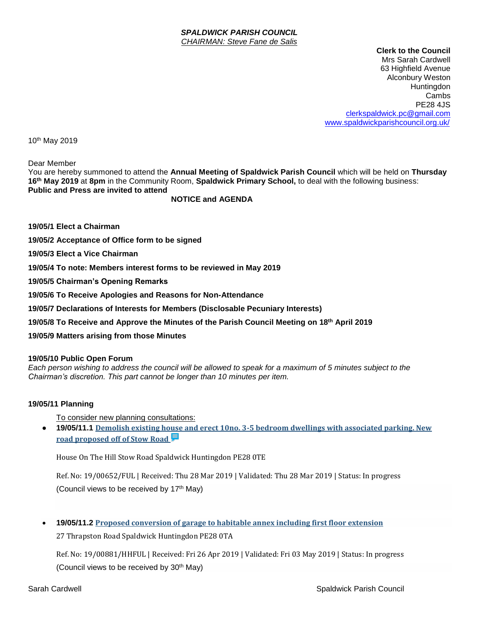#### *SPALDWICK PARISH COUNCIL CHAIRMAN: Steve Fane de Salis*

 **Clerk to the Council** Mrs Sarah Cardwell 63 Highfield Avenue Alconbury Weston Huntingdon Cambs PE28 4JS [clerkspaldwick.pc@gmail.com](mailto:clerkspaldwick.pc@gmail.com) [www.spaldwickparishcouncil.org.uk/](http://www.spaldwickparishcouncil.org.uk/)

10th May 2019

Dear Member

You are hereby summoned to attend the **Annual Meeting of Spaldwick Parish Council** which will be held on **Thursday 16 th May 2019** at **8pm** in the Community Room, **Spaldwick Primary School,** to deal with the following business: **Public and Press are invited to attend**

**NOTICE and AGENDA**

**19/05/1 Elect a Chairman**

**19/05/2 Acceptance of Office form to be signed**

**19/05/3 Elect a Vice Chairman**

**19/05/4 To note: Members interest forms to be reviewed in May 2019**

**19/05/5 Chairman's Opening Remarks**

**19/05/6 To Receive Apologies and Reasons for Non-Attendance**

**19/05/7 Declarations of Interests for Members (Disclosable Pecuniary Interests)**

**19/05/8 To Receive and Approve the Minutes of the Parish Council Meeting on 18 th April 2019**

**19/05/9 Matters arising from those Minutes**

#### **19/05/10 Public Open Forum**

*Each person wishing to address the council will be allowed to speak for a maximum of 5 minutes subject to the Chairman's discretion. This part cannot be longer than 10 minutes per item.* 

### **19/05/11 Planning**

To consider new planning consultations:

• **19/05/11.1 [Demolish existing house and erect 10no. 3-5 bedroom dwellings with associated parking. New](https://publicaccess.huntingdonshire.gov.uk/online-applications/applicationDetails.do?keyVal=PP366XIKKLN00&activeTab=summary)  [road proposed off of Stow Road](https://publicaccess.huntingdonshire.gov.uk/online-applications/applicationDetails.do?keyVal=PP366XIKKLN00&activeTab=summary)** 

House On The Hill Stow Road Spaldwick Huntingdon PE28 0TE

Ref. No: 19/00652/FUL | Received: Thu 28 Mar 2019 | Validated: Thu 28 Mar 2019 | Status: In progress (Council views to be received by 17<sup>th</sup> May)

• **19/05/11.2 Proposed conversion of garage to habitable annex including first floor extension** 27 Thrapston Road Spaldwick Huntingdon PE28 0TA

Ref. No: 19/00881/HHFUL | Received: Fri 26 Apr 2019 | Validated: Fri 03 May 2019 | Status: In progress (Council views to be received by 30<sup>th</sup> May)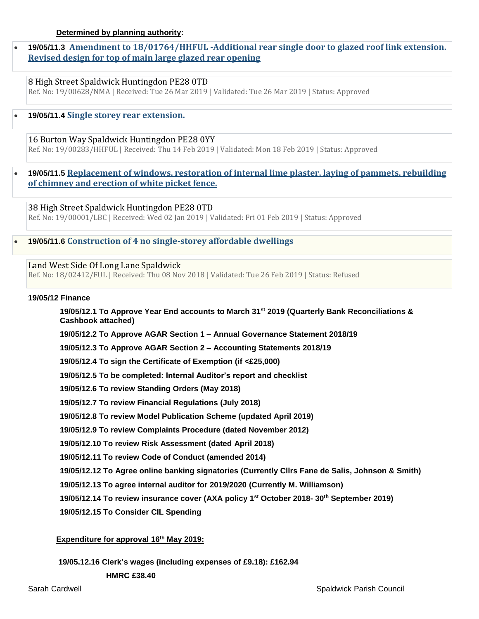• **19/05/11.3 [Amendment to 18/01764/HHFUL -Additional rear single door to glazed roof link extension.](https://publicaccess.huntingdonshire.gov.uk/online-applications/applicationDetails.do?keyVal=PP0KDDIK0DP00&activeTab=summary)  [Revised design for top of main large glazed rear opening](https://publicaccess.huntingdonshire.gov.uk/online-applications/applicationDetails.do?keyVal=PP0KDDIK0DP00&activeTab=summary)** 

8 High Street Spaldwick Huntingdon PE28 0TD Ref. No: 19/00628/NMA | Received: Tue 26 Mar 2019 | Validated: Tue 26 Mar 2019 | Status: Approved

• **19/05/11.4 [Single storey rear extension.](https://publicaccess.huntingdonshire.gov.uk/online-applications/applicationDetails.do?keyVal=PMX031IKJO700&activeTab=summary)** 

16 Burton Way Spaldwick Huntingdon PE28 0YY Ref. No: 19/00283/HHFUL | Received: Thu 14 Feb 2019 | Validated: Mon 18 Feb 2019 | Status: Approved

• **19/05/11.5 [Replacement of windows, restoration of internal lime plaster, laying of pammets, rebuilding](https://publicaccess.huntingdonshire.gov.uk/online-applications/applicationDetails.do?keyVal=PKP2A4IKIUH00&activeTab=summary)  [of chimney and erection of white picket fence.](https://publicaccess.huntingdonshire.gov.uk/online-applications/applicationDetails.do?keyVal=PKP2A4IKIUH00&activeTab=summary)** 

38 High Street Spaldwick Huntingdon PE28 0TD Ref. No: 19/00001/LBC | Received: Wed 02 Jan 2019 | Validated: Fri 01 Feb 2019 | Status: Approved

• **19/05/11.6 [Construction of 4 no single-storey affordable dwellings](https://publicaccess.huntingdonshire.gov.uk/online-applications/applicationDetails.do?keyVal=PHVR37IKHU600&activeTab=summary)** 

## Land West Side Of Long Lane Spaldwick

Ref. No: 18/02412/FUL | Received: Thu 08 Nov 2018 | Validated: Tue 26 Feb 2019 | Status: Refused

## **19/05/12 Finance**

**19/05/12.1 To Approve Year End accounts to March 31st 2019 (Quarterly Bank Reconciliations & Cashbook attached)**

**19/05/12.2 To Approve AGAR Section 1 – Annual Governance Statement 2018/19**

**19/05/12.3 To Approve AGAR Section 2 – Accounting Statements 2018/19**

**19/05/12.4 To sign the Certificate of Exemption (if <£25,000)**

**19/05/12.5 To be completed: Internal Auditor's report and checklist**

**19/05/12.6 To review Standing Orders (May 2018)**

**19/05/12.7 To review Financial Regulations (July 2018)**

**19/05/12.8 To review Model Publication Scheme (updated April 2019)**

**19/05/12.9 To review Complaints Procedure (dated November 2012)**

**19/05/12.10 To review Risk Assessment (dated April 2018)**

**19/05/12.11 To review Code of Conduct (amended 2014)**

**19/05/12.12 To Agree online banking signatories (Currently Cllrs Fane de Salis, Johnson & Smith)**

**19/05/12.13 To agree internal auditor for 2019/2020 (Currently M. Williamson)**

**19/05/12.14 To review insurance cover (AXA policy 1st October 2018- 30th September 2019)**

**19/05/12.15 To Consider CIL Spending**

# **Expenditure for approval 16 th May 2019:**

**19/05.12.16 Clerk's wages (including expenses of £9.18): £162.94**

 **HMRC £38.40**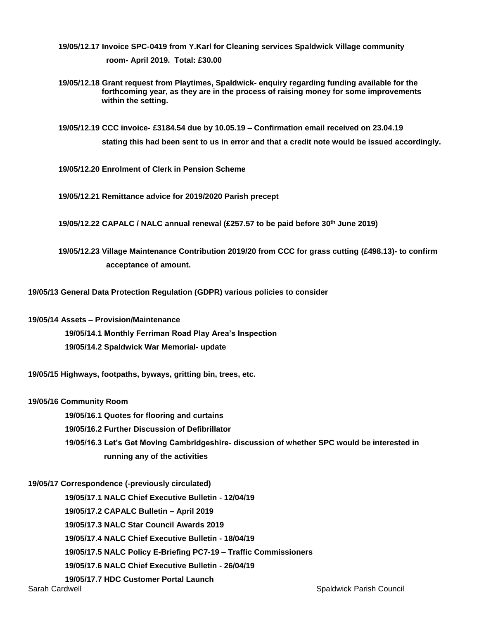- **19/05/12.17 Invoice SPC-0419 from Y.Karl for Cleaning services Spaldwick Village community room- April 2019. Total: £30.00**
- **19/05/12.18 Grant request from Playtimes, Spaldwick- enquiry regarding funding available for the forthcoming year, as they are in the process of raising money for some improvements within the setting.**
- **19/05/12.19 CCC invoice- £3184.54 due by 10.05.19 – Confirmation email received on 23.04.19 stating this had been sent to us in error and that a credit note would be issued accordingly.**
- **19/05/12.20 Enrolment of Clerk in Pension Scheme**
- **19/05/12.21 Remittance advice for 2019/2020 Parish precept**
- **19/05/12.22 CAPALC / NALC annual renewal (£257.57 to be paid before 30th June 2019)**
- **19/05/12.23 Village Maintenance Contribution 2019/20 from CCC for grass cutting (£498.13)- to confirm acceptance of amount.**
- **19/05/13 General Data Protection Regulation (GDPR) various policies to consider**
- **19/05/14 Assets – Provision/Maintenance**
	- **19/05/14.1 Monthly Ferriman Road Play Area's Inspection 19/05/14.2 Spaldwick War Memorial- update**
- **19/05/15 Highways, footpaths, byways, gritting bin, trees, etc.**

### **19/05/16 Community Room**

- **19/05/16.1 Quotes for flooring and curtains**
- **19/05/16.2 Further Discussion of Defibrillator**
- **19/05/16.3 Let's Get Moving Cambridgeshire- discussion of whether SPC would be interested in running any of the activities**

### **19/05/17 Correspondence (-previously circulated)**

 **19/05/17.1 NALC Chief Executive Bulletin - 12/04/19**

 **19/05/17.2 CAPALC Bulletin – April 2019**

 **19/05/17.3 NALC Star Council Awards 2019**

 **19/05/17.4 NALC Chief Executive Bulletin - 18/04/19**

 **19/05/17.5 NALC Policy E-Briefing PC7-19 – Traffic Commissioners**

 **19/05/17.6 NALC Chief Executive Bulletin - 26/04/19**

 **19/05/17.7 HDC Customer Portal Launch**